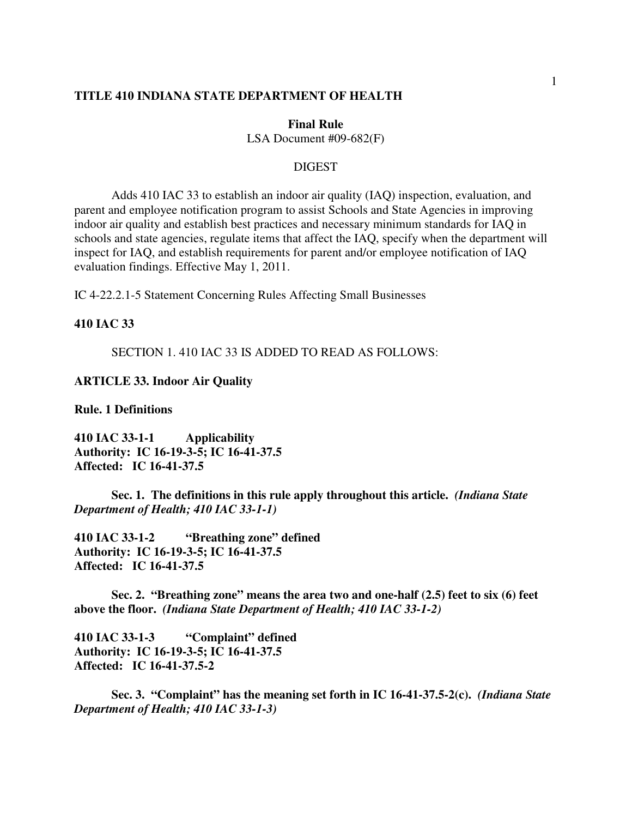#### **TITLE 410 INDIANA STATE DEPARTMENT OF HEALTH**

#### **Final Rule**

LSA Document #09-682(F)

## **DIGEST**

Adds 410 IAC 33 to establish an indoor air quality (IAQ) inspection, evaluation, and parent and employee notification program to assist Schools and State Agencies in improving indoor air quality and establish best practices and necessary minimum standards for IAQ in schools and state agencies, regulate items that affect the IAQ, specify when the department will inspect for IAQ, and establish requirements for parent and/or employee notification of IAQ evaluation findings. Effective May 1, 2011.

IC 4-22.2.1-5 Statement Concerning Rules Affecting Small Businesses

### **410 IAC 33**

SECTION 1. 410 IAC 33 IS ADDED TO READ AS FOLLOWS:

## **ARTICLE 33. Indoor Air Quality**

**Rule. 1 Definitions** 

**410 IAC 33-1-1 Applicability Authority: IC 16-19-3-5; IC 16-41-37.5 Affected: IC 16-41-37.5** 

 **Sec. 1. The definitions in this rule apply throughout this article.** *(Indiana State Department of Health; 410 IAC 33-1-1)*

**410 IAC 33-1-2 "Breathing zone" defined Authority: IC 16-19-3-5; IC 16-41-37.5 Affected: IC 16-41-37.5** 

 **Sec. 2. "Breathing zone" means the area two and one-half (2.5) feet to six (6) feet above the floor.** *(Indiana State Department of Health; 410 IAC 33-1-2)*

**410 IAC 33-1-3 "Complaint" defined Authority: IC 16-19-3-5; IC 16-41-37.5 Affected: IC 16-41-37.5-2** 

 **Sec. 3. "Complaint" has the meaning set forth in IC 16-41-37.5-2(c).** *(Indiana State Department of Health; 410 IAC 33-1-3)*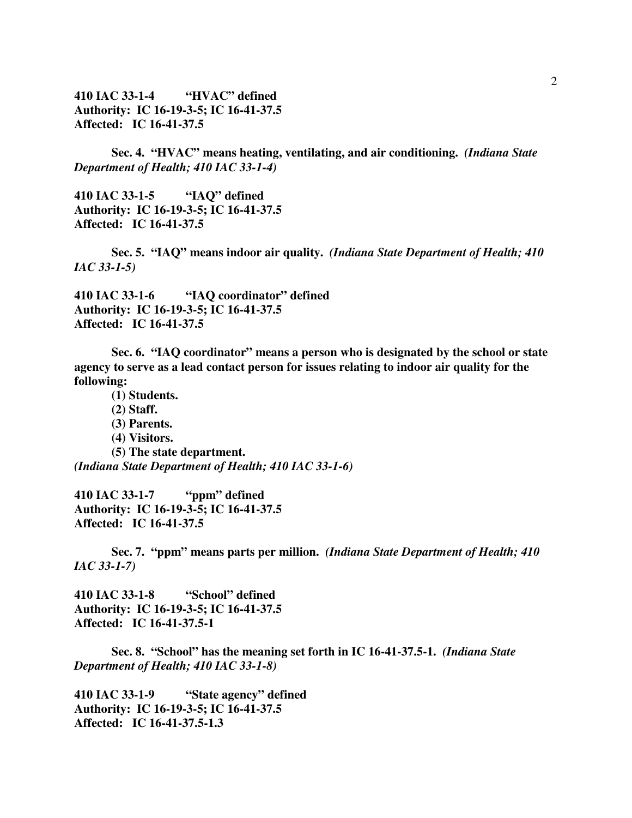# **410 IAC 33-1-4 "HVAC" defined Authority: IC 16-19-3-5; IC 16-41-37.5 Affected: IC 16-41-37.5**

 **Sec. 4. "HVAC" means heating, ventilating, and air conditioning.** *(Indiana State Department of Health; 410 IAC 33-1-4)*

**410 IAC 33-1-5 "IAQ" defined Authority: IC 16-19-3-5; IC 16-41-37.5 Affected: IC 16-41-37.5** 

 **Sec. 5. "IAQ" means indoor air quality.** *(Indiana State Department of Health; 410 IAC 33-1-5)*

**410 IAC 33-1-6 "IAQ coordinator" defined Authority: IC 16-19-3-5; IC 16-41-37.5 Affected: IC 16-41-37.5** 

 **Sec. 6. "IAQ coordinator" means a person who is designated by the school or state agency to serve as a lead contact person for issues relating to indoor air quality for the following:** 

**(1) Students.** 

**(2) Staff.** 

**(3) Parents.** 

**(4) Visitors.** 

**(5) The state department.**  *(Indiana State Department of Health; 410 IAC 33-1-6)*

**410 IAC 33-1-7 "ppm" defined Authority: IC 16-19-3-5; IC 16-41-37.5 Affected: IC 16-41-37.5** 

 **Sec. 7. "ppm" means parts per million.** *(Indiana State Department of Health; 410 IAC 33-1-7)*

**410 IAC 33-1-8 "School" defined Authority: IC 16-19-3-5; IC 16-41-37.5 Affected: IC 16-41-37.5-1** 

 **Sec. 8. "School" has the meaning set forth in IC 16-41-37.5-1.** *(Indiana State Department of Health; 410 IAC 33-1-8)*

**410 IAC 33-1-9 "State agency" defined Authority: IC 16-19-3-5; IC 16-41-37.5 Affected: IC 16-41-37.5-1.3**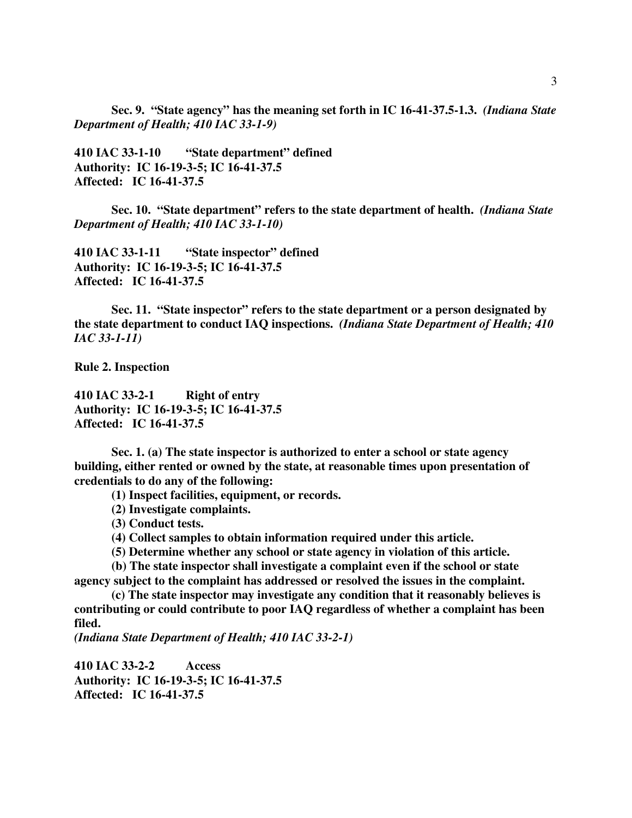**Sec. 9. "State agency" has the meaning set forth in IC 16-41-37.5-1.3.** *(Indiana State Department of Health; 410 IAC 33-1-9)*

**410 IAC 33-1-10 "State department" defined Authority: IC 16-19-3-5; IC 16-41-37.5 Affected: IC 16-41-37.5** 

 **Sec. 10. "State department" refers to the state department of health.** *(Indiana State Department of Health; 410 IAC 33-1-10)* 

**410 IAC 33-1-11 "State inspector" defined Authority: IC 16-19-3-5; IC 16-41-37.5 Affected: IC 16-41-37.5** 

 **Sec. 11. "State inspector" refers to the state department or a person designated by the state department to conduct IAQ inspections.** *(Indiana State Department of Health; 410 IAC 33-1-11)*

**Rule 2. Inspection** 

**410 IAC 33-2-1 Right of entry Authority: IC 16-19-3-5; IC 16-41-37.5 Affected: IC 16-41-37.5** 

**Sec. 1. (a) The state inspector is authorized to enter a school or state agency building, either rented or owned by the state, at reasonable times upon presentation of credentials to do any of the following:** 

**(1) Inspect facilities, equipment, or records.** 

**(2) Investigate complaints.** 

**(3) Conduct tests.** 

**(4) Collect samples to obtain information required under this article.** 

**(5) Determine whether any school or state agency in violation of this article.** 

**(b) The state inspector shall investigate a complaint even if the school or state agency subject to the complaint has addressed or resolved the issues in the complaint.** 

**(c) The state inspector may investigate any condition that it reasonably believes is contributing or could contribute to poor IAQ regardless of whether a complaint has been filed.** 

*(Indiana State Department of Health; 410 IAC 33-2-1)* 

**410 IAC 33-2-2 Access Authority: IC 16-19-3-5; IC 16-41-37.5 Affected: IC 16-41-37.5**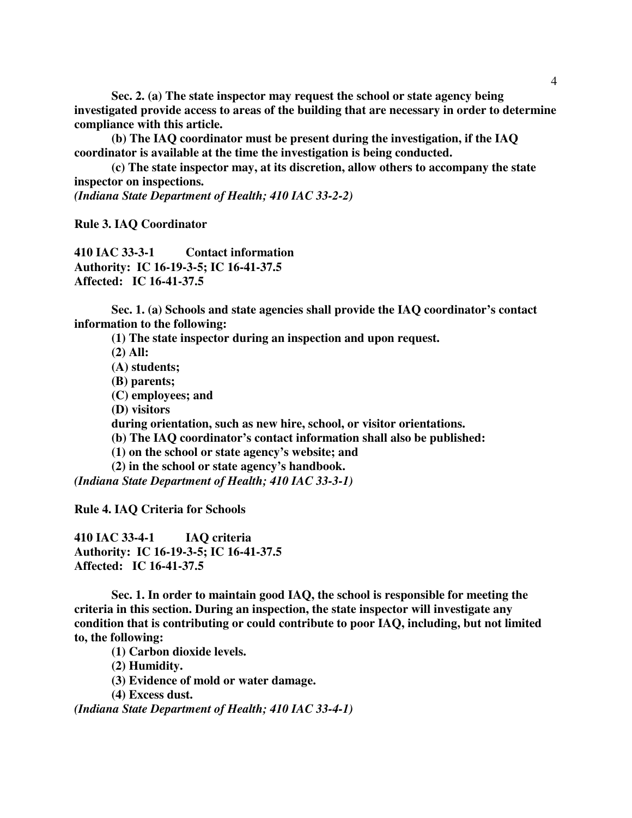**Sec. 2. (a) The state inspector may request the school or state agency being investigated provide access to areas of the building that are necessary in order to determine compliance with this article.** 

**(b) The IAQ coordinator must be present during the investigation, if the IAQ coordinator is available at the time the investigation is being conducted.** 

 **(c) The state inspector may, at its discretion, allow others to accompany the state inspector on inspections.** 

*(Indiana State Department of Health; 410 IAC 33-2-2)* 

**Rule 3. IAQ Coordinator**

**410 IAC 33-3-1 Contact information Authority: IC 16-19-3-5; IC 16-41-37.5 Affected: IC 16-41-37.5** 

**Sec. 1. (a) Schools and state agencies shall provide the IAQ coordinator's contact information to the following:** 

**(1) The state inspector during an inspection and upon request.** 

- **(2) All:**
- **(A) students;**
- **(B) parents;**
- **(C) employees; and**
- **(D) visitors**

**during orientation, such as new hire, school, or visitor orientations.** 

- **(b) The IAQ coordinator's contact information shall also be published:**
- **(1) on the school or state agency's website; and**
- **(2) in the school or state agency's handbook.**

*(Indiana State Department of Health; 410 IAC 33-3-1)*

**Rule 4. IAQ Criteria for Schools** 

**410 IAC 33-4-1 IAQ criteria Authority: IC 16-19-3-5; IC 16-41-37.5 Affected: IC 16-41-37.5** 

**Sec. 1. In order to maintain good IAQ, the school is responsible for meeting the criteria in this section. During an inspection, the state inspector will investigate any condition that is contributing or could contribute to poor IAQ, including, but not limited to, the following:** 

**(1) Carbon dioxide levels.** 

**(2) Humidity.** 

- **(3) Evidence of mold or water damage.**
- **(4) Excess dust.**

*(Indiana State Department of Health; 410 IAC 33-4-1)*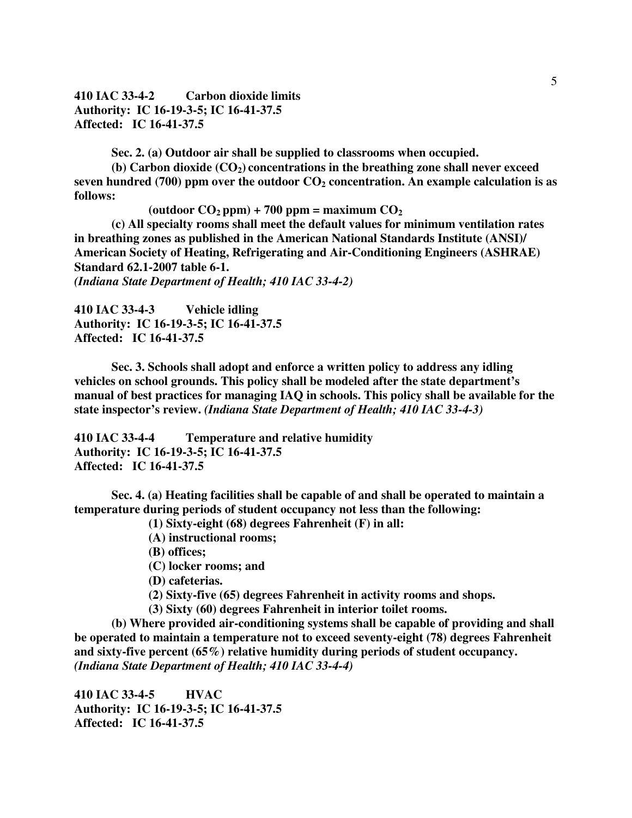**410 IAC 33-4-2 Carbon dioxide limits Authority: IC 16-19-3-5; IC 16-41-37.5 Affected: IC 16-41-37.5** 

**Sec. 2. (a) Outdoor air shall be supplied to classrooms when occupied.** 

**(b) Carbon dioxide (CO2) concentrations in the breathing zone shall never exceed seven hundred (700) ppm over the outdoor CO2 concentration. An example calculation is as follows:** 

 $\text{(outdoor } CO_2 \text{ ppm)} + 700 \text{ ppm} = \text{maximum } CO_2$ 

**(c) All specialty rooms shall meet the default values for minimum ventilation rates in breathing zones as published in the American National Standards Institute (ANSI)/ American Society of Heating, Refrigerating and Air-Conditioning Engineers (ASHRAE) Standard 62.1-2007 table 6-1.** 

*(Indiana State Department of Health; 410 IAC 33-4-2)*

**410 IAC 33-4-3 Vehicle idling Authority: IC 16-19-3-5; IC 16-41-37.5 Affected: IC 16-41-37.5** 

**Sec. 3. Schools shall adopt and enforce a written policy to address any idling vehicles on school grounds. This policy shall be modeled after the state department's manual of best practices for managing IAQ in schools. This policy shall be available for the state inspector's review.** *(Indiana State Department of Health; 410 IAC 33-4-3)*

**410 IAC 33-4-4 Temperature and relative humidity Authority: IC 16-19-3-5; IC 16-41-37.5 Affected: IC 16-41-37.5** 

**Sec. 4. (a) Heating facilities shall be capable of and shall be operated to maintain a temperature during periods of student occupancy not less than the following:** 

**(1) Sixty-eight (68) degrees Fahrenheit (F) in all:**

**(A) instructional rooms;** 

**(B) offices;** 

**(C) locker rooms; and** 

**(D) cafeterias.** 

**(2) Sixty-five (65) degrees Fahrenheit in activity rooms and shops.** 

**(3) Sixty (60) degrees Fahrenheit in interior toilet rooms.** 

**(b) Where provided air-conditioning systems shall be capable of providing and shall be operated to maintain a temperature not to exceed seventy-eight (78) degrees Fahrenheit and sixty-five percent (65%) relative humidity during periods of student occupancy.**  *(Indiana State Department of Health; 410 IAC 33-4-4)* 

**410 IAC 33-4-5 HVAC Authority: IC 16-19-3-5; IC 16-41-37.5 Affected: IC 16-41-37.5**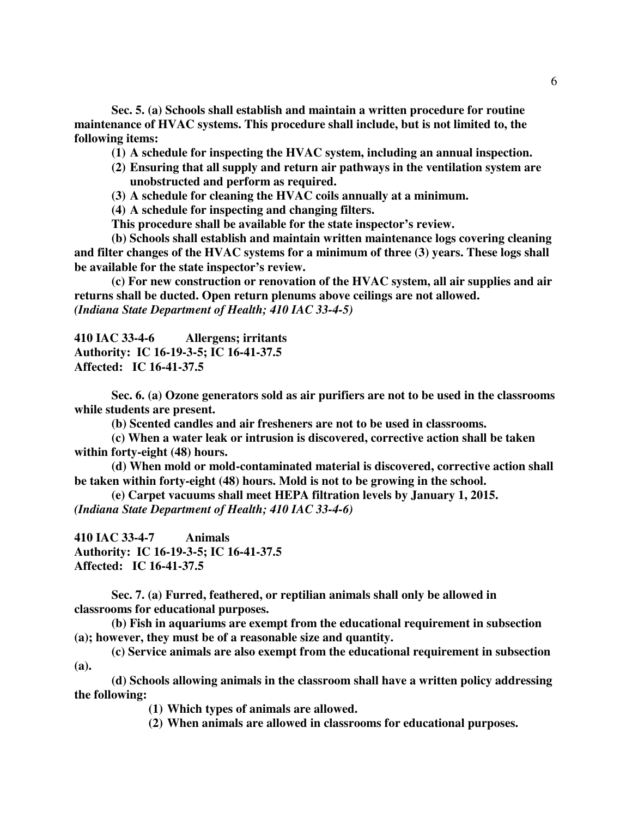**Sec. 5. (a) Schools shall establish and maintain a written procedure for routine maintenance of HVAC systems. This procedure shall include, but is not limited to, the following items:** 

**(1) A schedule for inspecting the HVAC system, including an annual inspection.** 

- **(2) Ensuring that all supply and return air pathways in the ventilation system are unobstructed and perform as required.**
- **(3) A schedule for cleaning the HVAC coils annually at a minimum.**

**(4) A schedule for inspecting and changing filters.** 

**This procedure shall be available for the state inspector's review.** 

**(b) Schools shall establish and maintain written maintenance logs covering cleaning and filter changes of the HVAC systems for a minimum of three (3) years. These logs shall be available for the state inspector's review.**

**(c) For new construction or renovation of the HVAC system, all air supplies and air returns shall be ducted. Open return plenums above ceilings are not allowed.** *(Indiana State Department of Health; 410 IAC 33-4-5)* 

**410 IAC 33-4-6 Allergens; irritants Authority: IC 16-19-3-5; IC 16-41-37.5 Affected: IC 16-41-37.5** 

**Sec. 6. (a) Ozone generators sold as air purifiers are not to be used in the classrooms while students are present.**

**(b) Scented candles and air fresheners are not to be used in classrooms.**

**(c) When a water leak or intrusion is discovered, corrective action shall be taken within forty-eight (48) hours.** 

**(d) When mold or mold-contaminated material is discovered, corrective action shall be taken within forty-eight (48) hours. Mold is not to be growing in the school.** 

**(e) Carpet vacuums shall meet HEPA filtration levels by January 1, 2015.**  *(Indiana State Department of Health; 410 IAC 33-4-6)*

**410 IAC 33-4-7 Animals Authority: IC 16-19-3-5; IC 16-41-37.5 Affected: IC 16-41-37.5** 

**Sec. 7. (a) Furred, feathered, or reptilian animals shall only be allowed in classrooms for educational purposes.** 

**(b) Fish in aquariums are exempt from the educational requirement in subsection (a); however, they must be of a reasonable size and quantity.** 

**(c) Service animals are also exempt from the educational requirement in subsection (a).** 

**(d) Schools allowing animals in the classroom shall have a written policy addressing the following:** 

**(1) Which types of animals are allowed.** 

**(2) When animals are allowed in classrooms for educational purposes.**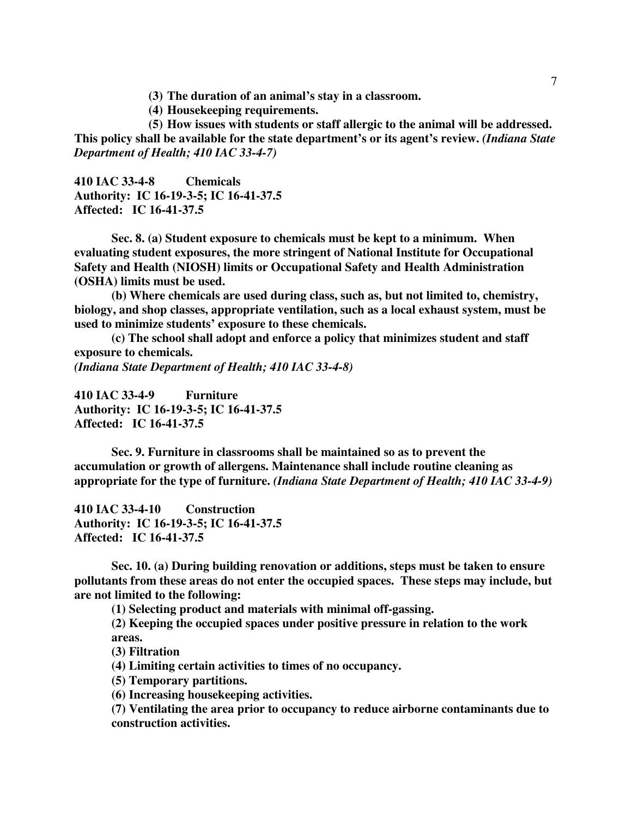**(3) The duration of an animal's stay in a classroom.** 

**(4) Housekeeping requirements.** 

**(5) How issues with students or staff allergic to the animal will be addressed. This policy shall be available for the state department's or its agent's review.** *(Indiana State Department of Health; 410 IAC 33-4-7)*

**410 IAC 33-4-8 Chemicals Authority: IC 16-19-3-5; IC 16-41-37.5 Affected: IC 16-41-37.5** 

**Sec. 8. (a) Student exposure to chemicals must be kept to a minimum. When evaluating student exposures, the more stringent of National Institute for Occupational Safety and Health (NIOSH) limits or Occupational Safety and Health Administration (OSHA) limits must be used.** 

**(b) Where chemicals are used during class, such as, but not limited to, chemistry, biology, and shop classes, appropriate ventilation, such as a local exhaust system, must be used to minimize students' exposure to these chemicals.** 

**(c) The school shall adopt and enforce a policy that minimizes student and staff exposure to chemicals.** 

*(Indiana State Department of Health; 410 IAC 33-4-8)*

**410 IAC 33-4-9 Furniture Authority: IC 16-19-3-5; IC 16-41-37.5 Affected: IC 16-41-37.5** 

**Sec. 9. Furniture in classrooms shall be maintained so as to prevent the accumulation or growth of allergens. Maintenance shall include routine cleaning as appropriate for the type of furniture.** *(Indiana State Department of Health; 410 IAC 33-4-9)*

**410 IAC 33-4-10 Construction Authority: IC 16-19-3-5; IC 16-41-37.5 Affected: IC 16-41-37.5** 

**Sec. 10. (a) During building renovation or additions, steps must be taken to ensure pollutants from these areas do not enter the occupied spaces. These steps may include, but are not limited to the following:** 

**(1) Selecting product and materials with minimal off-gassing.** 

**(2) Keeping the occupied spaces under positive pressure in relation to the work areas.** 

**(3) Filtration** 

**(4) Limiting certain activities to times of no occupancy.** 

**(5) Temporary partitions.** 

**(6) Increasing housekeeping activities.** 

**(7) Ventilating the area prior to occupancy to reduce airborne contaminants due to construction activities.**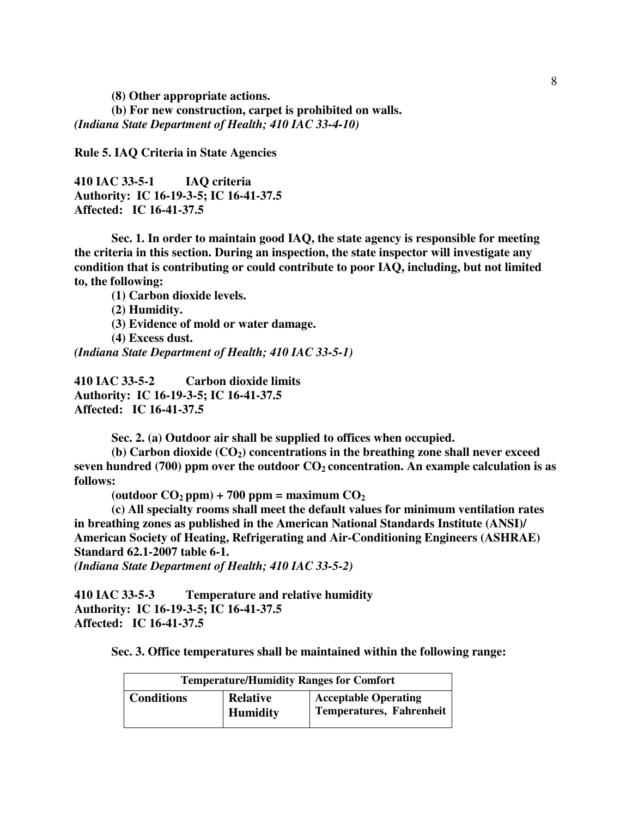**(8) Other appropriate actions.** 

**(b) For new construction, carpet is prohibited on walls.**  *(Indiana State Department of Health; 410 IAC 33-4-10)*

**Rule 5. IAQ Criteria in State Agencies** 

**410 IAC 33-5-1 IAQ criteria Authority: IC 16-19-3-5; IC 16-41-37.5 Affected: IC 16-41-37.5** 

**Sec. 1. In order to maintain good IAQ, the state agency is responsible for meeting the criteria in this section. During an inspection, the state inspector will investigate any condition that is contributing or could contribute to poor IAQ, including, but not limited to, the following:** 

**(1) Carbon dioxide levels.** 

**(2) Humidity.** 

**(3) Evidence of mold or water damage.** 

**(4) Excess dust.** 

*(Indiana State Department of Health; 410 IAC 33-5-1)*

**410 IAC 33-5-2 Carbon dioxide limits Authority: IC 16-19-3-5; IC 16-41-37.5 Affected: IC 16-41-37.5** 

**Sec. 2. (a) Outdoor air shall be supplied to offices when occupied.** 

**(b) Carbon dioxide (CO2) concentrations in the breathing zone shall never exceed seven hundred (700) ppm over the outdoor CO2 concentration. An example calculation is as follows:** 

 $\text{(outdoor } CO_2 \text{ ppm)} + 700 \text{ ppm} = \text{maximum } CO_2$ 

**(c) All specialty rooms shall meet the default values for minimum ventilation rates in breathing zones as published in the American National Standards Institute (ANSI)/ American Society of Heating, Refrigerating and Air-Conditioning Engineers (ASHRAE) Standard 62.1-2007 table 6-1.** 

*(Indiana State Department of Health; 410 IAC 33-5-2)*

**410 IAC 33-5-3 Temperature and relative humidity Authority: IC 16-19-3-5; IC 16-41-37.5 Affected: IC 16-41-37.5** 

**Sec. 3. Office temperatures shall be maintained within the following range:** 

| <b>Temperature/Humidity Ranges for Comfort</b> |                                    |                                                                |  |
|------------------------------------------------|------------------------------------|----------------------------------------------------------------|--|
| <b>Conditions</b>                              | <b>Relative</b><br><b>Humidity</b> | <b>Acceptable Operating</b><br><b>Temperatures, Fahrenheit</b> |  |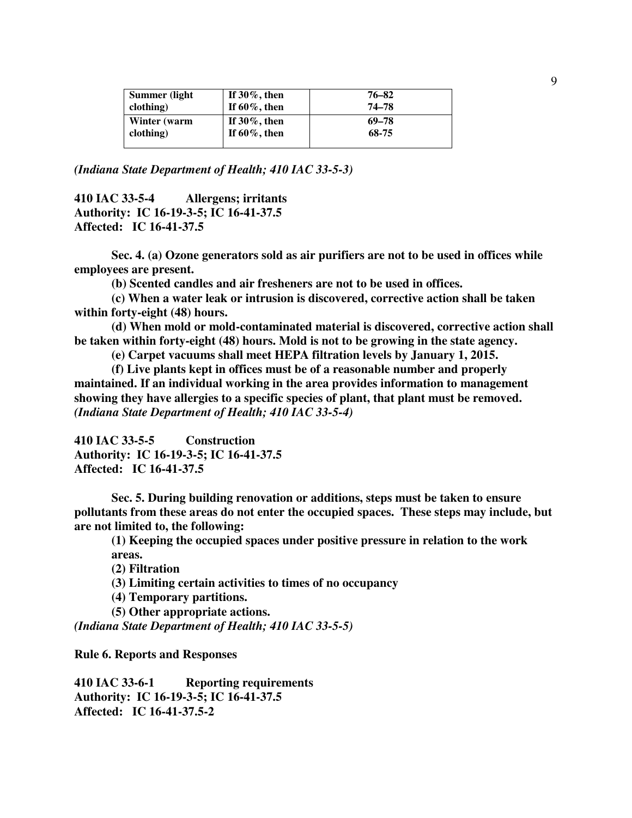| If $30\%$ , then<br>If $60\%$ , then | 76–82<br>74–78 |
|--------------------------------------|----------------|
| If $30\%$ , then                     | 69–78          |
| If $60\%$ , then                     | 68-75          |
|                                      |                |

*(Indiana State Department of Health; 410 IAC 33-5-3)* 

**410 IAC 33-5-4 Allergens; irritants Authority: IC 16-19-3-5; IC 16-41-37.5 Affected: IC 16-41-37.5**

**Sec. 4. (a) Ozone generators sold as air purifiers are not to be used in offices while employees are present.**

**(b) Scented candles and air fresheners are not to be used in offices.** 

**(c) When a water leak or intrusion is discovered, corrective action shall be taken within forty-eight (48) hours.** 

**(d) When mold or mold-contaminated material is discovered, corrective action shall be taken within forty-eight (48) hours. Mold is not to be growing in the state agency.** 

**(e) Carpet vacuums shall meet HEPA filtration levels by January 1, 2015.** 

**(f) Live plants kept in offices must be of a reasonable number and properly maintained. If an individual working in the area provides information to management showing they have allergies to a specific species of plant, that plant must be removed.** *(Indiana State Department of Health; 410 IAC 33-5-4)* 

**410 IAC 33-5-5 Construction Authority: IC 16-19-3-5; IC 16-41-37.5 Affected: IC 16-41-37.5** 

**Sec. 5. During building renovation or additions, steps must be taken to ensure pollutants from these areas do not enter the occupied spaces. These steps may include, but are not limited to, the following:** 

**(1) Keeping the occupied spaces under positive pressure in relation to the work areas.** 

**(2) Filtration** 

**(3) Limiting certain activities to times of no occupancy** 

**(4) Temporary partitions.** 

**(5) Other appropriate actions.** 

*(Indiana State Department of Health; 410 IAC 33-5-5)*

**Rule 6. Reports and Responses** 

**410 IAC 33-6-1 Reporting requirements Authority: IC 16-19-3-5; IC 16-41-37.5 Affected: IC 16-41-37.5-2**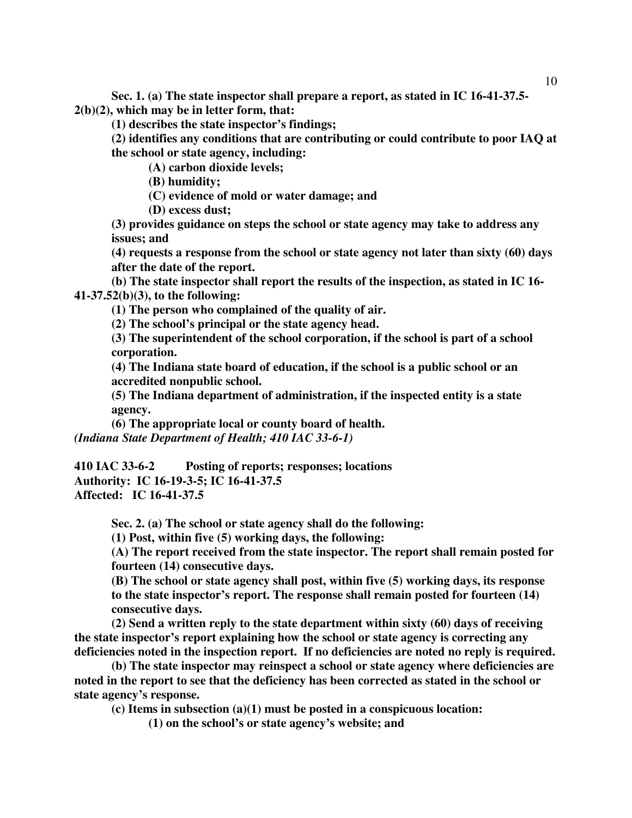**Sec. 1. (a) The state inspector shall prepare a report, as stated in IC 16-41-37.5- 2(b)(2), which may be in letter form, that:** 

**(1) describes the state inspector's findings;** 

**(2) identifies any conditions that are contributing or could contribute to poor IAQ at the school or state agency, including:** 

 **(A) carbon dioxide levels;** 

 **(B) humidity;** 

 **(C) evidence of mold or water damage; and** 

 **(D) excess dust;** 

**(3) provides guidance on steps the school or state agency may take to address any issues; and** 

**(4) requests a response from the school or state agency not later than sixty (60) days after the date of the report.** 

**(b) The state inspector shall report the results of the inspection, as stated in IC 16- 41-37.52(b)(3), to the following:** 

**(1) The person who complained of the quality of air.** 

**(2) The school's principal or the state agency head.** 

**(3) The superintendent of the school corporation, if the school is part of a school corporation.** 

**(4) The Indiana state board of education, if the school is a public school or an accredited nonpublic school.** 

**(5) The Indiana department of administration, if the inspected entity is a state agency.** 

**(6) The appropriate local or county board of health.**  *(Indiana State Department of Health; 410 IAC 33-6-1)*

**410 IAC 33-6-2 Posting of reports; responses; locations Authority: IC 16-19-3-5; IC 16-41-37.5 Affected: IC 16-41-37.5** 

**Sec. 2. (a) The school or state agency shall do the following:** 

**(1) Post, within five (5) working days, the following:** 

**(A) The report received from the state inspector. The report shall remain posted for fourteen (14) consecutive days.** 

**(B) The school or state agency shall post, within five (5) working days, its response to the state inspector's report. The response shall remain posted for fourteen (14) consecutive days.** 

**(2) Send a written reply to the state department within sixty (60) days of receiving the state inspector's report explaining how the school or state agency is correcting any deficiencies noted in the inspection report. If no deficiencies are noted no reply is required.** 

**(b) The state inspector may reinspect a school or state agency where deficiencies are noted in the report to see that the deficiency has been corrected as stated in the school or state agency's response.**

**(c) Items in subsection (a)(1) must be posted in a conspicuous location:** 

**(1) on the school's or state agency's website; and**